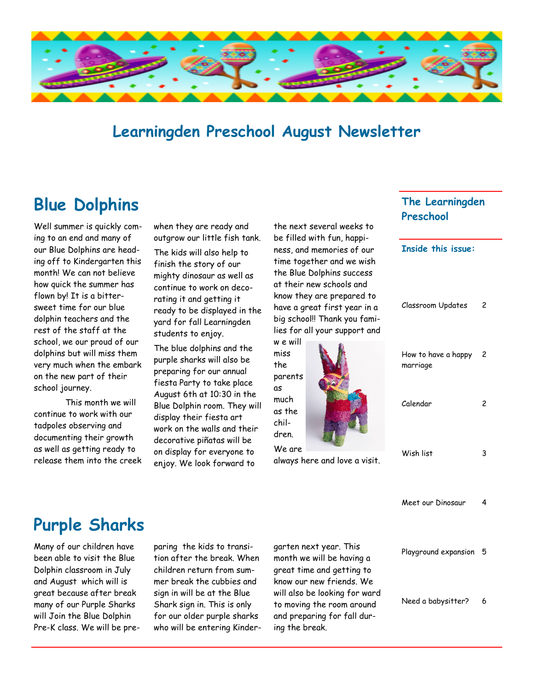

### **Learningden Preschool August Newsletter**

## **Blue Dolphins**

Well summer is quickly coming to an end and many of our Blue Dolphins are heading off to Kindergarten this month! We can not believe how quick the summer has flown by! It is a bittersweet time for our blue dolphin teachers and the rest of the staff at the school, we our proud of our dolphins but will miss them very much when the embark on the new part of their school journey.

This month we will continue to work with our tadpoles observing and documenting their growth as well as getting ready to release them into the creek when they are ready and outgrow our little fish tank.

The kids will also help to finish the story of our mighty dinosaur as well as continue to work on decorating it and getting it ready to be displayed in the yard for fall Learningden students to enjoy.

The blue dolphins and the purple sharks will also be preparing for our annual fiesta Party to take place August 6th at 10:30 in the Blue Dolphin room. They will display their fiesta art work on the walls and their decorative piñatas will be on display for everyone to enjoy. We look forward to

the next several weeks to be filled with fun, happiness, and memories of our time together and we wish the Blue Dolphins success at their new schools and know they are prepared to have a great first year in a big school!! Thank you families for all your support and w e will

miss the parents as much as the children. We are **Caption description picture or graphic.**

always here and love a visit.

#### **The Learningden Preschool**

**Inside this issue:**

| Classroom Updates               | 2 |
|---------------------------------|---|
| How to have a happy<br>marriage | 2 |
| Calendar                        | 2 |
| Wish list                       | 3 |
| Meet our Dinosaur               | 4 |
| Playground expansion            | 5 |

Need a babysitter? 6

# **Purple Sharks**

Many of our children have been able to visit the Blue Dolphin classroom in July and August which will is great because after break many of our Purple Sharks will Join the Blue Dolphin Pre-K class. We will be preparing the kids to transition after the break. When children return from summer break the cubbies and sign in will be at the Blue Shark sign in. This is only for our older purple sharks who will be entering Kindergarten next year. This month we will be having a great time and getting to know our new friends. We will also be looking for ward to moving the room around and preparing for fall during the break.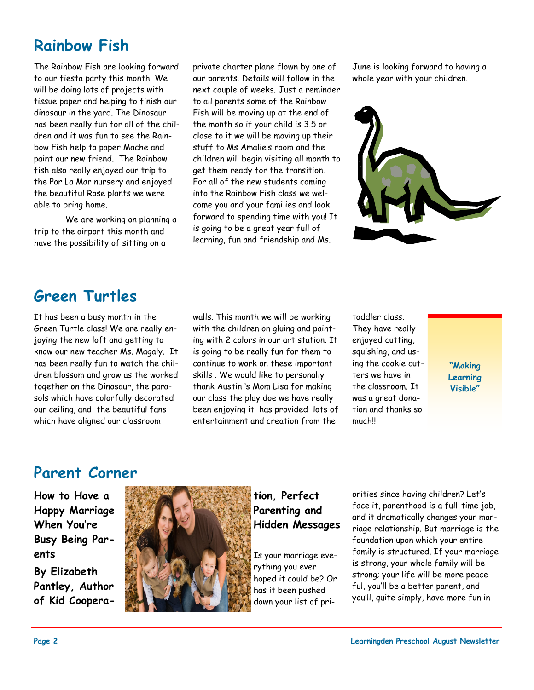## **Rainbow Fish**

The Rainbow Fish are looking forward to our fiesta party this month. We will be doing lots of projects with tissue paper and helping to finish our dinosaur in the yard. The Dinosaur has been really fun for all of the children and it was fun to see the Rainbow Fish help to paper Mache and paint our new friend. The Rainbow fish also really enjoyed our trip to the Por La Mar nursery and enjoyed the beautiful Rose plants we were able to bring home.

We are working on planning a trip to the airport this month and have the possibility of sitting on a

private charter plane flown by one of our parents. Details will follow in the next couple of weeks. Just a reminder to all parents some of the Rainbow Fish will be moving up at the end of the month so if your child is 3.5 or close to it we will be moving up their stuff to Ms Amalie's room and the children will begin visiting all month to get them ready for the transition. For all of the new students coming into the Rainbow Fish class we welcome you and your families and look forward to spending time with you! It is going to be a great year full of learning, fun and friendship and Ms.

June is looking forward to having a whole year with your children.



## **Green Turtles**

It has been a busy month in the Green Turtle class! We are really enjoying the new loft and getting to know our new teacher Ms. Magaly. It has been really fun to watch the children blossom and grow as the worked together on the Dinosaur, the parasols which have colorfully decorated our ceiling, and the beautiful fans which have aligned our classroom

walls. This month we will be working with the children on gluing and painting with 2 colors in our art station. It is going to be really fun for them to continue to work on these important skills . We would like to personally thank Austin 's Mom Lisa for making our class the play doe we have really been enjoying it has provided lots of entertainment and creation from the

toddler class. They have really enjoyed cutting, squishing, and using the cookie cutters we have in the classroom. It was a great donation and thanks so much!!

**"Making Learning Visible"** 

## **Parent Corner**

**How to Have a Happy Marriage When You're Busy Being Parents**

**By Elizabeth Pantley, Author of Kid Coopera-**



**tion, Perfect Parenting and Hidden Messages**

Is your marriage everything you ever hoped it could be? Or has it been pushed down your list of priorities since having children? Let's face it, parenthood is a full-time job, and it dramatically changes your marriage relationship. But marriage is the foundation upon which your entire family is structured. If your marriage is strong, your whole family will be strong; your life will be more peaceful, you'll be a better parent, and you'll, quite simply, have more fun in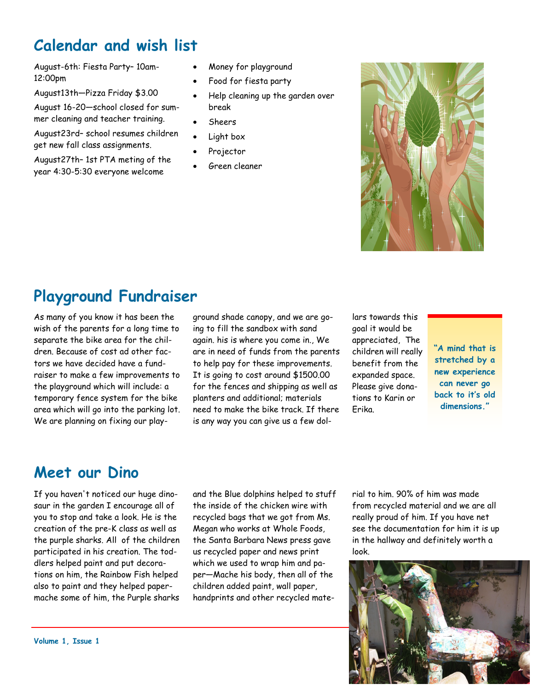## **Calendar and wish list**

August-6th: Fiesta Party– 10am-12:00pm

August13th—Pizza Friday \$3.00

August 16-20—school closed for summer cleaning and teacher training.

August23rd– school resumes children get new fall class assignments.

August27th– 1st PTA meting of the year 4:30-5:30 everyone welcome

- Money for playground
- Food for fiesta party
- Help cleaning up the garden over break
- Sheers
- Light box
- Projector
- Green cleaner



## **Playground Fundraiser**

As many of you know it has been the wish of the parents for a long time to separate the bike area for the children. Because of cost ad other factors we have decided have a fundraiser to make a few improvements to the playground which will include: a temporary fence system for the bike area which will go into the parking lot. We are planning on fixing our playground shade canopy, and we are going to fill the sandbox with sand again. his is where you come in., We are in need of funds from the parents to help pay for these improvements. It is going to cost around \$1500.00 for the fences and shipping as well as planters and additional; materials need to make the bike track. If there is any way you can give us a few dollars towards this goal it would be appreciated, The children will really benefit from the expanded space. Please give donations to Karin or Erika.

**"A mind that is stretched by a new experience can never go back to it's old dimensions."**

## **Meet our Dino**

If you haven't noticed our huge dinosaur in the garden I encourage all of you to stop and take a look. He is the creation of the pre-K class as well as the purple sharks. All of the children participated in his creation. The toddlers helped paint and put decorations on him, the Rainbow Fish helped also to paint and they helped papermache some of him, the Purple sharks and the Blue dolphins helped to stuff the inside of the chicken wire with recycled bags that we got from Ms. Megan who works at Whole Foods, the Santa Barbara News press gave us recycled paper and news print which we used to wrap him and paper—Mache his body, then all of the children added paint, wall paper, handprints and other recycled material to him. 90% of him was made from recycled material and we are all really proud of him. If you have net see the documentation for him it is up in the hallway and definitely worth a look.